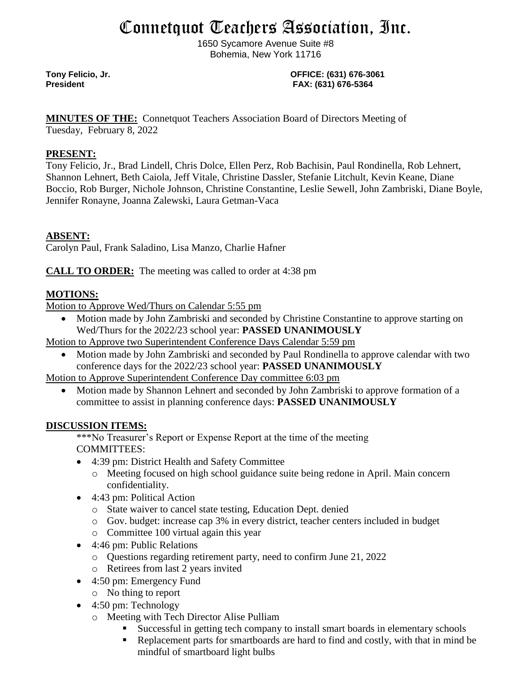# Connetquot Teachers Association, Inc.

1650 Sycamore Avenue Suite #8 Bohemia, New York 11716

**Tony Felicio, Jr. OFFICE: (631) 676-3061 President FAX: (631) 676-5364**

**MINUTES OF THE:** Connetquot Teachers Association Board of Directors Meeting of Tuesday, February 8, 2022

#### **PRESENT:**

Tony Felicio, Jr., Brad Lindell, Chris Dolce, Ellen Perz, Rob Bachisin, Paul Rondinella, Rob Lehnert, Shannon Lehnert, Beth Caiola, Jeff Vitale, Christine Dassler, Stefanie Litchult, Kevin Keane, Diane Boccio, Rob Burger, Nichole Johnson, Christine Constantine, Leslie Sewell, John Zambriski, Diane Boyle, Jennifer Ronayne, Joanna Zalewski, Laura Getman-Vaca

### **ABSENT:**

Carolyn Paul, Frank Saladino, Lisa Manzo, Charlie Hafner

**CALL TO ORDER:** The meeting was called to order at 4:38 pm

#### **MOTIONS:**

Motion to Approve Wed/Thurs on Calendar 5:55 pm

• Motion made by John Zambriski and seconded by Christine Constantine to approve starting on Wed/Thurs for the 2022/23 school year: **PASSED UNANIMOUSLY**

Motion to Approve two Superintendent Conference Days Calendar 5:59 pm

• Motion made by John Zambriski and seconded by Paul Rondinella to approve calendar with two conference days for the 2022/23 school year: **PASSED UNANIMOUSLY**

Motion to Approve Superintendent Conference Day committee 6:03 pm

• Motion made by Shannon Lehnert and seconded by John Zambriski to approve formation of a committee to assist in planning conference days: **PASSED UNANIMOUSLY**

#### **DISCUSSION ITEMS:**

\*\*\*No Treasurer's Report or Expense Report at the time of the meeting COMMITTEES:

- 4:39 pm: District Health and Safety Committee
	- o Meeting focused on high school guidance suite being redone in April. Main concern confidentiality.
- 4:43 pm: Political Action
	- o State waiver to cancel state testing, Education Dept. denied
	- o Gov. budget: increase cap 3% in every district, teacher centers included in budget
	- o Committee 100 virtual again this year
- 4:46 pm: Public Relations
	- o Questions regarding retirement party, need to confirm June 21, 2022
	- o Retirees from last 2 years invited
- 4:50 pm: Emergency Fund
	- o No thing to report
- 4:50 pm: Technology
	- o Meeting with Tech Director Alise Pulliam
		- Successful in getting tech company to install smart boards in elementary schools
		- Replacement parts for smartboards are hard to find and costly, with that in mind be mindful of smartboard light bulbs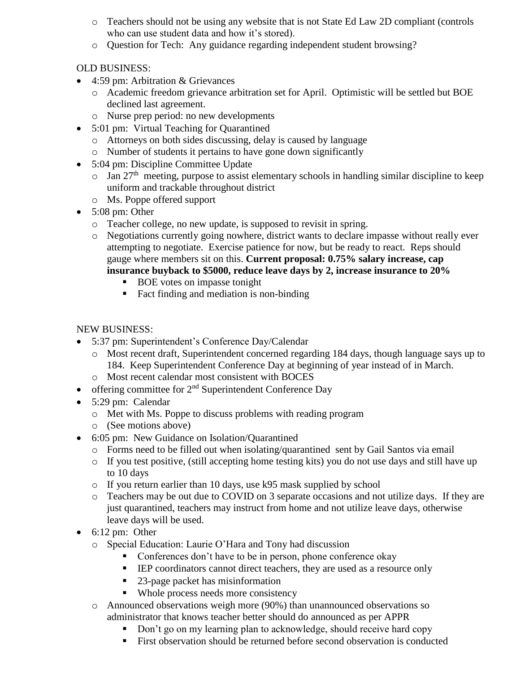- o Teachers should not be using any website that is not State Ed Law 2D compliant (controls who can use student data and how it's stored).
- o Question for Tech: Any guidance regarding independent student browsing?

## OLD BUSINESS:

- 4:59 pm: Arbitration & Grievances
	- o Academic freedom grievance arbitration set for April. Optimistic will be settled but BOE declined last agreement.
	- o Nurse prep period: no new developments
- 5:01 pm: Virtual Teaching for Quarantined
	- o Attorneys on both sides discussing, delay is caused by language
	- o Number of students it pertains to have gone down significantly
- 5:04 pm: Discipline Committee Update
	- $\circ$  Jan 27<sup>th</sup> meeting, purpose to assist elementary schools in handling similar discipline to keep uniform and trackable throughout district
	- o Ms. Poppe offered support
- 5:08 pm: Other
	- o Teacher college, no new update, is supposed to revisit in spring.
	- o Negotiations currently going nowhere, district wants to declare impasse without really ever attempting to negotiate. Exercise patience for now, but be ready to react. Reps should gauge where members sit on this. **Current proposal: 0.75% salary increase, cap insurance buyback to \$5000, reduce leave days by 2, increase insurance to 20%**
		- BOE votes on impasse tonight
		- Fact finding and mediation is non-binding

## NEW BUSINESS:

- 5:37 pm: Superintendent's Conference Day/Calendar
	- o Most recent draft, Superintendent concerned regarding 184 days, though language says up to 184. Keep Superintendent Conference Day at beginning of year instead of in March.
	- o Most recent calendar most consistent with BOCES
- offering committee for  $2<sup>nd</sup>$  Superintendent Conference Day
- 5:29 pm: Calendar
	- o Met with Ms. Poppe to discuss problems with reading program
	- o (See motions above)
- 6:05 pm: New Guidance on Isolation/Quarantined
	- o Forms need to be filled out when isolating/quarantined sent by Gail Santos via email
	- $\circ$  If you test positive, (still accepting home testing kits) you do not use days and still have up to 10 days
	- o If you return earlier than 10 days, use k95 mask supplied by school
	- o Teachers may be out due to COVID on 3 separate occasions and not utilize days. If they are just quarantined, teachers may instruct from home and not utilize leave days, otherwise leave days will be used.
- $\bullet$  6:12 pm: Other
	- o Special Education: Laurie O'Hara and Tony had discussion
		- Conferences don't have to be in person, phone conference okay
		- **EXECUTE:** IEP coordinators cannot direct teachers, they are used as a resource only
		- 23-page packet has misinformation
		- Whole process needs more consistency
	- o Announced observations weigh more (90%) than unannounced observations so administrator that knows teacher better should do announced as per APPR
		- Don't go on my learning plan to acknowledge, should receive hard copy
		- First observation should be returned before second observation is conducted